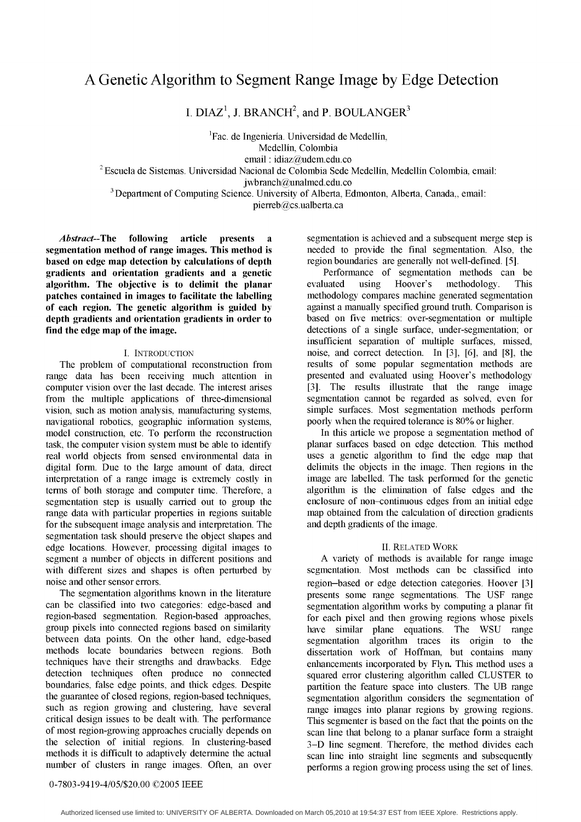# A Genetic Algorithm to Segment Range Image by Edge Detection

I.  $DIAZ<sup>1</sup>$ , J. BRANCH<sup>2</sup>, and P. BOULANGER<sup>3</sup>

<sup>1</sup>Fac. de Ingeniería. Universidad de Medellín, Medellin, Colombia email: idiaz@udem.edu.co

2Escuela de Sistemas. Universidad Nacional de Colombia Sede Medellin, Medellin Colombia, email:

jwbranch@unalmed.edu.co

<sup>3</sup> Department of Computing Science. University of Alberta, Edmonton, Alberta, Canada,, email:

 $pi$ erreb $@cs.$ ualberta.ca

Abstract--The following article presents a segmentation method of range images. This method is based on edge map detection by calculations of depth gradients and orientation gradients and a genetic algorithm. The objective is to delimit the planar patches contained in images to facilitate the labelling of each region. The genetic algorithm is guided by depth gradients and orientation gradients in order to find the edge map of the image.

## I. INTRODUCTION

The problem of computational reconstruction from range data has been receiving much attention in computer vision over the last decade. The interest arises from the multiple applications of three-dimensional vision, such as motion analysis, manufacturing systems, navigational robotics, geographic information systems, model construction, etc. To perform the reconstruction task, the computer vision system must be able to identify real world objects from sensed environmental data in digital form. Due to the large amount of data, direct interpretation of a range image is extremely costly in terms of both storage and computer time. Therefore, a segmentation step is usually carried out to group the range data with particular properties in regions suitable for the subsequent image analysis and interpretation. The segmentation task should preserve the object shapes and edge locations. However, processing digital images to segment a number of objects in different positions and with different sizes and shapes is often perturbed by noise and other sensor errors.

The segmentation algorithms known in the literature can be classified into two categories: edge-based and region-based segmentation. Region-based approaches, group pixels into connected regions based on similarity between data points. On the other hand, edge-based methods locate boundaries between regions. Both techniques have their strengths and drawbacks. Edge detection techniques often produce no connected boundaries, false edge points, and thick edges. Despite the guarantee of closed regions, region-based techniques, such as region growing and clustering, have several critical design issues to be dealt with. The performance of most region-growing approaches crucially depends on the selection of initial regions. In clustering-based methods it is difficult to adaptively determine the actual number of clusters in range images. Often, an over segmentation is achieved and a subsequent merge step is needed to provide the final segmentation. Also, the region boundaries are generally not well-defined. [5].

Performance of segmentation methods can be evaluated using Hoover's methodology. This methodology compares machine generated segmentation against a manually specified ground truth. Comparison is based on five metrics: over-segmentation or multiple detections of a single surface, under-segmentation; or insufficient separation of multiple surfaces, missed, noise, and correct detection. In [3], [6], and [8], the results of some popular segmentation methods are presented and evaluated using Hoover's methodology [3]. The results illustrate that the range image segmentation cannot be regarded as solved, even for simple surfaces. Most segmentation methods perform poorly when the required tolerance is 80% or higher.

In this article we propose a segmentation method of planar surfaces based on edge detection. This method uses a genetic algorithm to find the edge map that delimits the objects in the image. Then regions in the image are labelled. The task performed for the genetic algorithm is the elimination of false edges and the enclosure of non-continuous edges from an initial edge map obtained from the calculation of direction gradients and depth gradients of the image.

## II. RELATED WORK

A variety of methods is available for range image segmentation. Most methods can be classified into region-based or edge detection categories. Hoover [3] presents some range segmentations. The USF range segmentation algorithm works by computing a planar fit for each pixel and then growing regions whose pixels have similar plane equations. The WSU range segmentation algorithm traces its origin to the dissertation work of Hoffman, but contains many enhancements incorporated by Flyn. This method uses a squared error clustering algorithm called CLUSTER to partition the feature space into clusters. The UB range segmentation algorithm considers the segmentation of range images into planar regions by growing regions. This segmenter is based on the fact that the points on the scan line that belong to a planar surface form a straight 3-D line segment. Therefore, the method divides each scan line into straight line segments and subsequently performs a region growing process using the set of lines.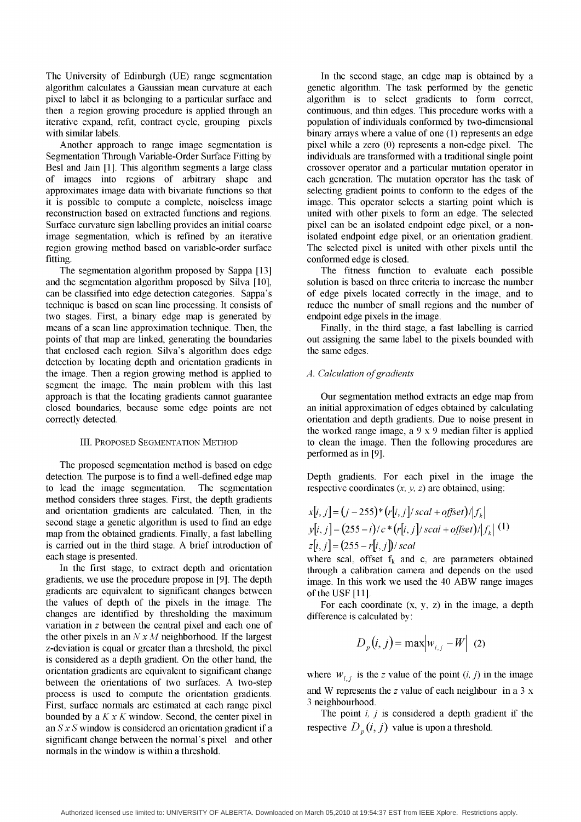The University of Edinburgh (UE) range segmentation algorithm calculates a Gaussian mean curvature at each pixel to label it as belonging to a particular surface and then a region growing procedure is applied through an iterative expand, refit, contract cycle, grouping pixels with similar labels.

Another approach to range image segmentation is Segmentation Through Variable-Order Surface Fitting by Besl and Jain [1]. This algorithm segments a large class of images into regions of arbitrary shape and approximates image data with bivariate functions so that it is possible to compute a complete, noiseless image reconstruction based on extracted functions and regions. Surface curvature sign labelling provides an initial coarse image segmentation, which is refined by an iterative region growing method based on variable-order surface fitting.

The segmentation algorithm proposed by Sappa [13] and the segmentation algorithm proposed by Silva [10], can be classified into edge detection categories. Sappa's technique is based on scan line processing. It consists of two stages. First, a binary edge map is generated by means of a scan line approximation technique. Then, the points of that map are linked, generating the boundaries that enclosed each region. Silva's algorithm does edge detection by locating depth and orientation gradients in the image. Then a region growing method is applied to segment the image. The main problem with this last approach is that the locating gradients cannot guarantee closed boundaries, because some edge points are not correctly detected.

## III. PROPOSED SEGMENTATION METHOD

The proposed segmentation method is based on edge detection. The purpose is to find a well-defined edge map to lead the image segmentation. The segmentation method considers three stages. First, the depth gradients and orientation gradients are calculated. Then, in the second stage a genetic algorithm is used to find an edge map from the obtained gradients. Finally, a fast labelling is carried out in the third stage. A brief introduction of each stage is presented.

In the first stage, to extract depth and orientation gradients, we use the procedure propose in [9]. The depth gradients are equivalent to significant changes between the values of depth of the pixels in the image. The changes are identified by thresholding the maximum variation in z between the central pixel and each one of the other pixels in an  $N x M$  neighborhood. If the largest z-deviation is equal or greater than a threshold, the pixel is considered as <sup>a</sup> depth gradient. On the other hand, the orientation gradients are equivalent to significant change between the orientations of two surfaces. A two-step process is used to compute the orientation gradients. First, surface normals are estimated at each range pixel bounded by a  $K \times K$  window. Second, the center pixel in an  $S \times S$  window is considered an orientation gradient if a significant change between the normal's pixel and other normals in the window is within a threshold.

In the second stage, an edge map is obtained by a genetic algorithm. The task performed by the genetic algorithm is to select gradients to form correct, continuous, and thin edges. This procedure works with a population of individuals conformed by two-dimensional binary arrays where a value of one (1) represents an edge pixel while a zero (0) represents a non-edge pixel. The individuals are transformed with a traditional single point crossover operator and a particular mutation operator in each generation. The mutation operator has the task of selecting gradient points to conform to the edges of the image. This operator selects a starting point which is united with other pixels to form an edge. The selected pixel can be an isolated endpoint edge pixel, or a nonisolated endpoint edge pixel, or an orientation gradient. The selected pixel is united with other pixels until the conformed edge is closed.

The fitness function to evaluate each possible solution is based on three criteria to increase the number of edge pixels located correctly in the image, and to reduce the number of small regions and the number of endpoint edge pixels in the image.

Finally, in the third stage, a fast labelling is carried out assigning the same label to the pixels bounded with the same edges.

## A. Calculation of gradients

Our segmentation method extracts an edge map from an initial approximation of edges obtained by calculating orientation and depth gradients. Due to noise present in the worked range image, a 9 x 9 median filter is applied to clean the image. Then the following procedures are performed as in [9].

Depth gradients. For each pixel in the image the respective coordinates  $(x, y, z)$  are obtained, using:

$$
x[i, j] = (j - 255)^{*} (r[i, j]/scal + offset)/|f_k|
$$
  
\n
$$
y[i, j] = (255 - i)/c * (r[i, j]/scal + offset)/|f_k|
$$
 (1)  
\n
$$
z[i, j] = (255 - r[i, j])/scal
$$

where scal, offset  $f_k$  and c, are parameters obtained through a calibration camera and depends on the used image. In this work we used the <sup>40</sup> ABW range images of the USF [11].

For each coordinate  $(x, y, z)$  in the image, a depth difference is calculated by:

$$
D_p(i, j) = \max \left| w_{i,j} - W \right| \tag{2}
$$

where  $W_{i,j}$  is the z value of the point  $(i, j)$  in the image and W represents the <sup>z</sup> value of each neighbour in <sup>a</sup> <sup>3</sup> <sup>x</sup> 3 neighbourhood.

The point  $i, j$  is considered a depth gradient if the respective  $D_p(i, j)$  value is upon a threshold.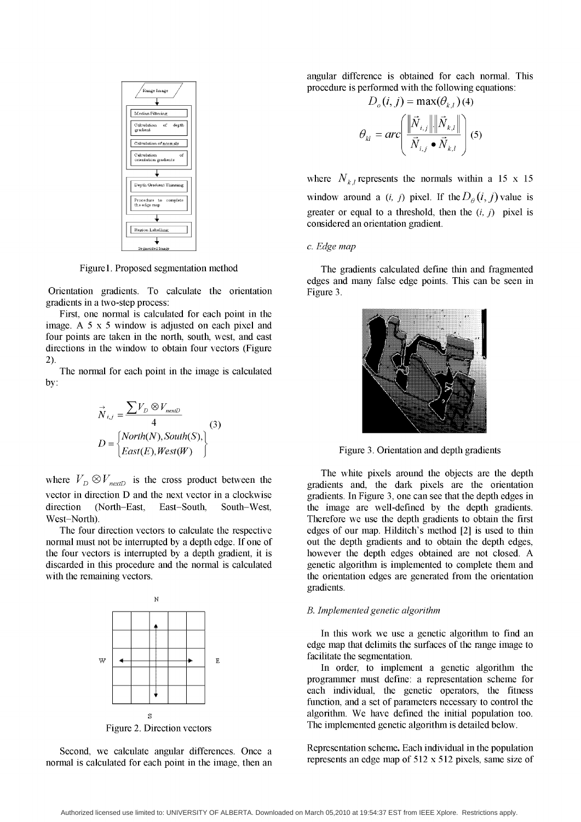

Figure I. Proposed segmentation method

Orientation gradients. To calculate the orientation gradients in a two-step process:

First, one normal is calculated for each point in the image. A <sup>5</sup> x <sup>5</sup> window is adjusted on each pixel and four points are taken in the north, south, west, and east directions in the window to obtain four vectors (Figure 2).

by: The normal for each point in the image is calculated

$$
\vec{N}_{i,j} = \frac{\sum V_D \otimes V_{nextD}}{4}
$$
\n
$$
D = \begin{cases}\nNorth(N), South(S), \\
East(E), West(W)\n\end{cases}
$$
\n(3)

where  $V_D \otimes V_{nextD}$  is the cross product between the vector in direction D and the next vector in <sup>a</sup> clockwise direction (North-East, East-South, South-West, West-North).

The four direction vectors to calculate the respective normal must not be interrupted by a depth edge. If one of the four vectors is interrupted by a depth gradient, it is discarded in this procedure and the normal is calculated with the remaining vectors.



Figure 2. Direction vectors

Second, we calculate angular differences. Once a normal is calculated for each point in the image, then an angular difference is obtained for each normal. This procedure is performed with the following equations:

$$
D_o(i, j) = \max(\theta_{k,l})(4)
$$

$$
\theta_{kl} = arc \left( \frac{\left\| \vec{N}_{i,j} \right\| \left\| \vec{N}_{k,l} \right\|}{\vec{N}_{i,j} \bullet \vec{N}_{k,l}} \right) (5)
$$

where  $N_{k,l}$  represents the normals within a 15 x 15 window around a (*i*, *j*) pixel. If the  $D_{\theta}(i, j)$  value is greater or equal to a threshold, then the  $(i, j)$  pixel is considered an orientation gradient.

c. Edge map

The gradients calculated define thin and fragmented edges and many false edge points. This can be seen in Figure 3.



Figure 3. Orientation and depth gradients

The white pixels around the objects are the depth gradients and, the dark pixels are the orientation gradients. In Figure 3, one can see that the depth edges in the image are well-defined by the depth gradients. Therefore we use the depth gradients to obtain the first edges of our map. Hilditch's method [2] is used to thin out the depth gradients and to obtain the depth edges, however the depth edges obtained are not closed. A genetic algorithm is implemented to complete them and the orientation edges are generated from the orientation gradients.

### B. Implemented genetic algorithm

In this work we use a genetic algorithm to find an edge map that delimits the surfaces of the range image to facilitate the segmentation.

In order, to implement a genetic algorithm the programmer must define: a representation scheme for each individual, the genetic operators, the fitness function, and a set of parameters necessary to control the algorithm. We have defined the initial population too. The implemented genetic algorithm is detailed below.

Representation scheme. Each individual in the population represents an edge map of 512 x 512 pixels, same size of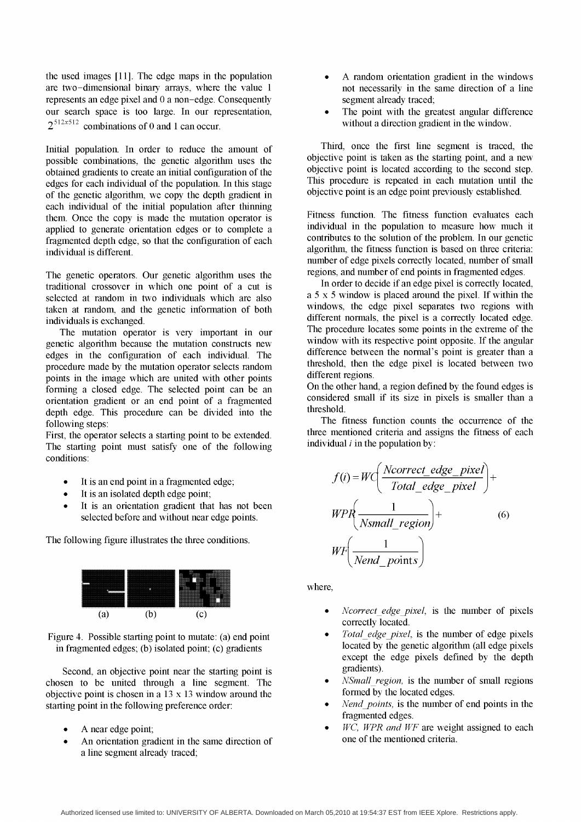the used images [11]. The edge maps in the population are two-dimensional binary arrays, where the value <sup>1</sup> represents an edge pixel and 0 a non-edge. Consequently our search space is too large. In our representation,  $2^{512x512}$  combinations of 0 and 1 can occur.

Initial population. In order to reduce the amount of possible combinations, the genetic algorithm uses the obtained gradients to create an initial configuration of the edges for each individual of the population. In this stage of the genetic algorithm, we copy the depth gradient in each individual of the initial population after thinning them. Once the copy is made the mutation operator is applied to generate orientation edges or to complete a fragmented depth edge, so that the configuration of each individual is different.

The genetic operators. Our genetic algorithm uses the traditional crossover in which one point of a cut is selected at random in two individuals which are also taken at random, and the genetic information of both individuals is exchanged.

The mutation operator is very important in our genetic algorithm because the mutation constructs new edges in the configuration of each individual. The procedure made by the mutation operator selects random points in the image which are united with other points forming a closed edge. The selected point can be an orientation gradient or an end point of a fragmented depth edge. This procedure can be divided into the following steps:

First, the operator selects a starting point to be extended. The starting point must satisfy one of the following conditions:

- $\bullet$ It is an end point in a fragmented edge;
- $\bullet$ It is an isolated depth edge point;
- $\bullet$ It is an orientation gradient that has not been selected before and without near edge points.

The following figure illustrates the three conditions.



Figure 4. Possible starting point to mutate: (a) end point in fragmented edges; (b) isolated point; (c) gradients

Second, an objective point near the starting point is chosen to be united through a line segment. The objective point is chosen in a 13 x 13 window around the starting point in the following preference order:

- 0 A near edge point;
- 0 An orientation gradient in the same direction of a line segment already traced;
- A random orientation gradient in the windows not necessarily in the same direction of a line segment already traced;
- The point with the greatest angular difference without a direction gradient in the window.

Third, once the first line segment is traced, the objective point is taken as the starting point, and a new objective point is located according to the second step. This procedure is repeated in each mutation until the objective point is an edge point previously established.

Fitness function. The fitness function evaluates each individual in the population to measure how much it contributes to the solution of the problem. In our genetic algorithm, the fitness function is based on three criteria: number of edge pixels correctly located, number of small regions, and number of end points in fragmented edges.

In order to decide if an edge pixel is correctly located, a 5 x 5 window is placed around the pixel. If within the windows, the edge pixel separates two regions with different normals, the pixel is a correctly located edge. The procedure locates some points in the extreme of the window with its respective point opposite. If the angular difference between the normal's point is greater than a threshold, then the edge pixel is located between two different regions.

On the other hand, <sup>a</sup> region defined by the found edges is considered small if its size in pixels is smaller than a threshold.

The fitness function counts the occurrence of the three mentioned criteria and assigns the fitness of each individual  $i$  in the population by:

$$
f(i) = WC\left(\frac{Ncorrect\_edge\_pixel}{Total\_edge\_pixel}\right) +
$$
  
\n
$$
WPR\left(\frac{1}{Nsmall\_region}\right) +
$$
  
\n
$$
WF\left(\frac{1}{Nend\_points}\right)
$$
 (6)

where,

- Ncorrect edge pixel, is the number of pixels correctly located.
- Total edge pixel, is the number of edge pixels located by the genetic algorithm (all edge pixels except the edge pixels defined by the depth gradients).
- NSmall region, is the number of small regions formed by the located edges.
- Nend points, is the number of end points in the fragmented edges.
- $WC$ , WPR and WF are weight assigned to each one of the mentioned criteria.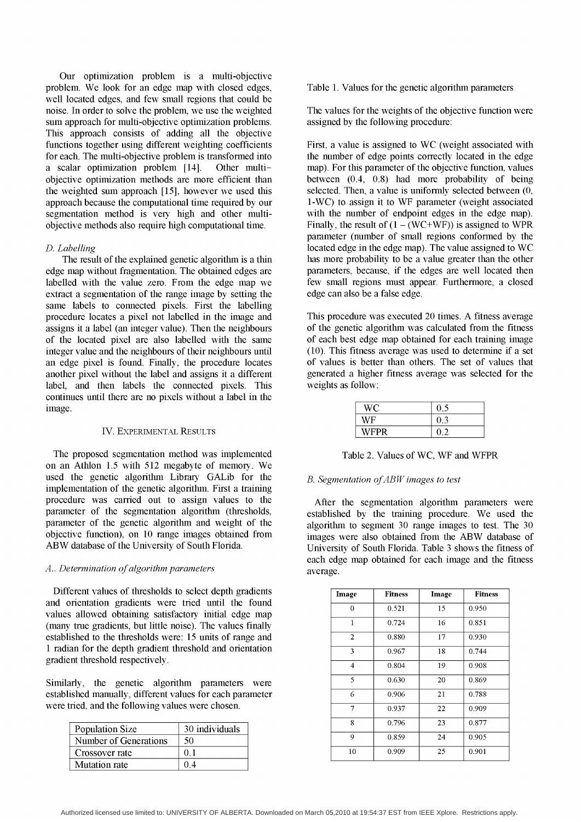Our optimization problem is a multi-objective problem. We look for an edge map with closed edges, well located edges, and few small regions that could be noise. In order to solve the problem, we use the weighted sum approach for multi-objective optimization problems. This approach consists of adding all the objective functions together using different weighting coefficients for each. The multi-objective problem is transformed into a scalar optimization problem [14]. Other multiobjective optimization methods are more efficient than the weighted sum approach [15], however we used this approach because the computational time required by our segmentation method is very high and other multiobjective methods also require high computational time.

## D. Labelling

The result of the explained genetic algorithm is a thin edge map without fragmentation. The obtained edges are labelled with the value zero. From the edge map we extract a segmentation of the range image by setting the same labels to connected pixels. First the labelling procedure locates a pixel not labelled in the image and assigns it a label (an integer value). Then the neighbours of the located pixel are also labelled with the same integer value and the neighbours of their neighbours until an edge pixel is found. Finally, the procedure locates another pixel without the label and assigns it a different label, and then labels the connected pixels. This continues until there are no pixels without a label in the image.

### IV. EXPERIMENTAL RESULTS

The proposed segmentation method was implemented on an Athlon 1.5 with <sup>512</sup> megabyte of memory. We used the genetic algorithm Library GALib for the implementation of the genetic algorithm. First a training procedure was carried out to assign values to the parameter of the segmentation algorithm (thresholds, parameter of the genetic algorithm and weight of the objective function), on 10 range images obtained from ABW database of the University of South Florida.

### A.. Determination of algorithm parameters

Different values of thresholds to select depth gradients and orientation gradients were tried until the found values allowed obtaining satisfactory initial edge map (many true gradients, but little noise). The values finally established to the thresholds were: 15 units of range and <sup>1</sup> radian for the depth gradient threshold and orientation gradient threshold respectively.

Similarly, the genetic algorithm parameters were established manually, different values for each parameter were tried, and the following values were chosen.

| <b>Population Size</b> | 30 individuals |
|------------------------|----------------|
| Number of Generations  | 50             |
| Crossover rate         | 01             |
| <b>Mutation</b> rate   |                |

Table 1. Values for the genetic algorithm parameters

The values for the weights of the objective function were assigned by the following procedure:

First, <sup>a</sup> value is assigned to WC (weight associated with the number of edge points correctly located in the edge map). For this parameter of the objective function, values between (0.4, 0.8) had more probability of being selected. Then, a value is uniformly selected between (0, I-WC) to assign it to WF parameter (weight associated with the number of endpoint edges in the edge map). Finally, the result of  $(1 - (WC+WF))$  is assigned to WPR parameter (number of small regions conformed by the located edge in the edge map). The value assigned to WC has more probability to be a value greater than the other parameters, because, if the edges are well located then few small regions must appear. Furthermore, a closed edge can also be a false edge.

This procedure was executed <sup>20</sup> times. A fitness average of the genetic algorithm was calculated from the fitness of each best edge map obtained for each training image (10). This fitness average was used to determine if a set of values is better than others. The set of values that generated a higher fitness average was selected for the weights as follow:

| WF          | 0.5 |
|-------------|-----|
| <b>WFPR</b> |     |

Table 2. Values of WC, WF and WFPR

#### B. Segmentation ofABW images to test

After the segmentation algorithm parameters were established by the training procedure. We used the algorithm to segment 30 range images to test. The 30 images were also obtained from the ABW database of University of South Florida. Table 3 shows the fitness of each edge map obtained for each image and the fitness average.

| Image          | <b>Fitness</b> | Image | <b>Fitness</b> |
|----------------|----------------|-------|----------------|
| 0              | 0.521          | 15    | 0.950          |
| 1              | 0.724          | 16    | 0.851          |
| $\overline{c}$ | 0.880          | 17    | 0.930          |
| 3              | 0.967          | 18    | 0.744          |
| 4              | 19<br>0.804    |       | 0.908          |
| 5              | 0.630          | 20    | 0.869          |
| 6              | 0.906          | 21    | 0.788          |
| 7              | 0.937          | 22    | 0.909          |
| 8              | 0.796          | 23    | 0.877          |
| 9              | 0.859          | 24    | 0.905          |
| 10             | 0.909          | 25    | 0.901          |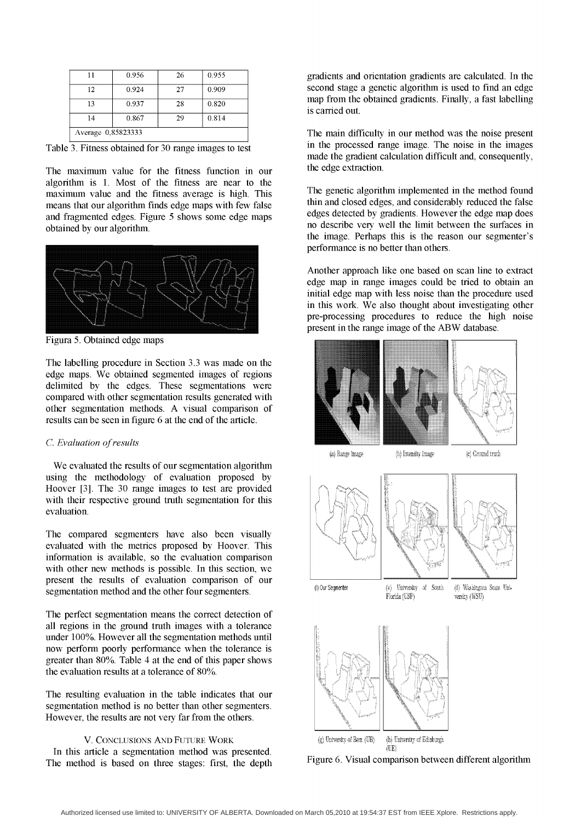| 11                 | 0.956 | 26 | 0.955 |
|--------------------|-------|----|-------|
| 12                 | 0.924 | 27 | 0.909 |
| 13                 | 0.937 | 28 | 0.820 |
| 14                 | 0.867 | 29 | 0.814 |
| Average 0,85823333 |       |    |       |

Table 3. Fitness obtained for 30 range images to test

The maximum value for the fitness function in our algorithm is 1. Most of the fitness are near to the maximum value and the fitness average is high. This means that our algorithm finds edge maps with few false and fragmented edges. Figure 5 shows some edge maps obtained by our algorithm.



Figura 5. Obtained edge maps

The labelling procedure in Section 3.3 was made on the edge maps. We obtained segmented images of regions delimited by the edges. These segmentations were compared with other segmentation results generated with other segmentation methods. A visual comparison of results can be seen in figure 6 at the end of the article.

## C. Evaluation ofresults

We evaluated the results of our segmentation algorithm using the methodology of evaluation proposed by Hoover [3]. The 30 range images to test are provided with their respective ground truth segmentation for this evaluation.

The compared segmenters have also been visually evaluated with the metrics proposed by Hoover. This information is available, so the evaluation comparison with other new methods is possible. In this section, we present the results of evaluation comparison of our segmentation method and the other four segmenters.

The perfect segmentation means the correct detection of all regions in the ground truth images with a tolerance under 100%. However all the segmentation methods until now perform poorly performance when the tolerance is greater than 80%. Table 4 at the end of this paper shows the evaluation results at a tolerance of 80%.

The resulting evaluation in the table indicates that our segmentation method is no better than other segmenters. However, the results are not very far from the others.

## V. CONCLUSIONS AND FUTURE WORK

In this article a segmentation method was presented. The method is based on three stages: first, the depth gradients and orientation gradients are calculated. In the second stage a genetic algorithm is used to find an edge map from the obtained gradients. Finally, a fast labelling is carried out.

The main difficulty in our method was the noise present in the processed range image. The noise in the images made the gradient calculation difficult and, consequently, the edge extraction.

The genetic algorithm implemented in the method found thin and closed edges, and considerably reduced the false edges detected by gradients. However the edge map does no describe very well the limit between the surfaces in the image. Perhaps this is the reason our segmenter's performance is no better than others.

Another approach like one based on scan line to extract edge map in range images could be tried to obtain an initial edge map with less noise than the procedure used in this work. We also thought about investigating other pre-processing procedures to reduce the high noise present in the range image of the ABW database.



Figure 6. Visual comparison between different algorithm